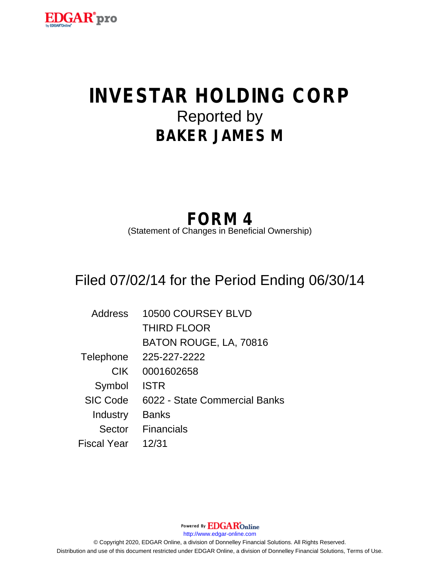

# **INVESTAR HOLDING CORP** Reported by **BAKER JAMES M**

## **FORM 4**

(Statement of Changes in Beneficial Ownership)

## Filed 07/02/14 for the Period Ending 06/30/14

| <b>Address</b>  | 10500 COURSEY BLVD            |
|-----------------|-------------------------------|
|                 | <b>THIRD FLOOR</b>            |
|                 | BATON ROUGE, LA, 70816        |
| Telephone       | 225-227-2222                  |
| <b>CIK</b>      | 0001602658                    |
| Symbol          | <b>ISTR</b>                   |
| <b>SIC Code</b> | 6022 - State Commercial Banks |
| Industry        | <b>Banks</b>                  |
| Sector          | <b>Financials</b>             |
| Fiscal Year     | 12/31                         |

Powered By **EDGAR**Online http://www.edgar-online.com © Copyright 2020, EDGAR Online, a division of Donnelley Financial Solutions. All Rights Reserved. Distribution and use of this document restricted under EDGAR Online, a division of Donnelley Financial Solutions, Terms of Use.